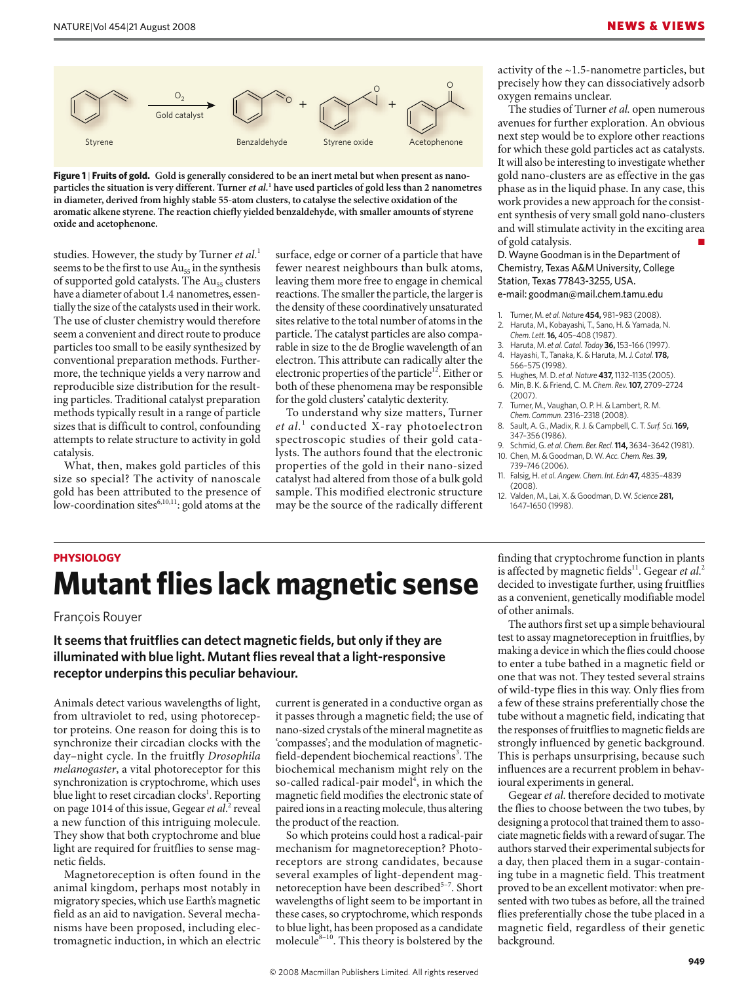

**Figure 1** | **Fruits of gold. Gold is generally considered to be an inert metal but when present as nanoparticles the situation is very different. Turner** *et al.***<sup>1</sup> have used particles of gold less than 2 nanometres in diameter, derived from highly stable 55-atom clusters, to catalyse the selective oxidation of the aromatic alkene styrene. The reaction chiefly yielded benzaldehyde, with smaller amounts of styrene oxide and acetophenone.**

studies. However, the study by Turner *et al*. 1 seems to be the first to use  $Au_{55}$  in the synthesis of supported gold catalysts. The Au<sub>55</sub> clusters have a diameter of about 1.4 nanometres, essentially the size of the catalysts used in their work. The use of cluster chemistry would therefore seem a convenient and direct route to produce particles too small to be easily synthesized by conventional preparation methods. Furthermore, the technique yields a very narrow and reproducible size distribution for the resulting particles. Traditional catalyst preparation methods typically result in a range of particle sizes that is difficult to control, confounding attempts to relate structure to activity in gold catalysis.

What, then, makes gold particles of this size so special? The activity of nanoscale gold has been attributed to the presence of low-coordination sites $6,10,11$ : gold atoms at the

 surface, edge or corner of a particle that have fewer nearest neighbours than bulk atoms, leaving them more free to engage in chemical reactions. The smaller the particle, the larger is the density of these coordinatively unsaturated sites relative to the total number of atoms in the particle. The catalyst particles are also comparable in size to the de Broglie wavelength of an electron. This attribute can radically alter the electronic properties of the particle<sup>12</sup>. Either or both of these phenomena may be responsible for the gold clusters' catalytic dexterity.

To understand why size matters, Turner *et al.*<sup>1</sup> conducted X-ray photoelectron spectroscopic studies of their gold catalysts. The authors found that the electronic properties of the gold in their nano-sized catalyst had altered from those of a bulk gold sample. This modified electronic structure may be the source of the radically different

activity of the ~1.5-nanometre particles, but precisely how they can dissociatively adsorb oxygen remains unclear.

The studies of Turner *et al.* open numerous avenues for further exploration. An obvious next step would be to explore other reactions for which these gold particles act as catalysts. It will also be interesting to investigate whether gold nano-clusters are as effective in the gas phase as in the liquid phase. In any case, this work provides a new approach for the consistent synthesis of very small gold nano-clusters and will stimulate activity in the exciting area of gold catalysis.

D. Wayne Goodman is in the Department of Chemistry, Texas A&M University, College Station, Texas 77843-3255, USA.

e-mail: goodman@mail.chem.tamu.edu

- 1. Turner, M. *et al.Nature* **454,** 981–983 (2008).
- 2. Haruta, M., Kobayashi, T., Sano, H. & Yamada, N. *Chem. Lett.***16,** 405–408 (1987). 3. Haruta, M. *et al. Catal. Today* **36,** 153–166 (1997).
- 4. Hayashi, T., Tanaka, K. & Haruta, M. *J. Catal.***178,** 566–575 (1998).
- 5. Hughes, M. D. *et al.Nature* **437,** 1132–1135 (2005).
- 6. Min, B. K. & Friend, C. M. *Chem. Rev.***107,** 2709–2724 (2007).
- 7. Turner, M., Vaughan, O. P. H. & Lambert, R. M. *Chem. Commun.* 2316–2318 (2008).
- 8. Sault, A. G., Madix, R. J. & Campbell, C. T. *Surf. Sci.***169,** 347–356 (1986).
- 9. Schmid, G. *et al*. *Chem. Ber. Recl.* **114,** 3634–3642 (1981). 10. Chen, M. & Goodman, D. W. *Acc. Chem. Res*. **39,** 739–746 (2006).
- 11. Falsig, H. *et al. Angew. Chem. Int. Edn* **47,** 4835–4839 (2008).
- 12. Valden, M., Lai, X. & Goodman, D. W. *Science* **281,** 1647–1650 (1998).

# **PHYSIOLOGY Mutant flies lack magnetic sense**

François Rouyer

## **It seems that fruitflies can detect magnetic fields, but only if they are illuminated with blue light. Mutant flies reveal that a light-responsive receptor underpins this peculiar behaviour.**

Animals detect various wavelengths of light, from ultraviolet to red, using photoreceptor proteins. One reason for doing this is to synchronize their circadian clocks with the day–night cycle. In the fruitfly *Drosophila melanogaster*, a vital photoreceptor for this synchronization is cryptochrome, which uses blue light to reset circadian clocks<sup>1</sup>. Reporting on page 1014 of this issue, Gegear et al.<sup>2</sup> reveal a new function of this intriguing molecule. They show that both cryptochrome and blue light are required for fruitflies to sense magnetic fields.

Magnetoreception is often found in the animal kingdom, perhaps most notably in migratory species, which use Earth's magnetic field as an aid to navigation. Several mechanisms have been proposed, including electromagnetic induction, in which an electric current is generated in a conductive organ as it passes through a magnetic field; the use of nano-sized crystals of the mineral magnetite as 'compasses'; and the modulation of magneticfield-dependent biochemical reactions<sup>3</sup>. The biochemical mechanism might rely on the so-called radical-pair model<sup>4</sup>, in which the magnetic field modifies the electronic state of paired ions in a reacting molecule, thus altering the product of the reaction.

So which proteins could host a radical-pair mechanism for magnetoreception? Photoreceptors are strong candidates, because several examples of light-dependent magnetoreception have been described<sup>5-7</sup>. Short wavelengths of light seem to be important in these cases, so cryptochrome, which responds to blue light, has been proposed as a candidate molecule $8-10$ . This theory is bolstered by the

finding that cryptochrome function in plants is affected by magnetic fields<sup>11</sup>. Gegear et al.<sup>2</sup> decided to investigate further, using fruitflies as a convenient, genetically modifiable model of other animals.

The authors first set up a simple behavioural test to assay magnetoreception in fruitflies, by making a device in which the flies could choose to enter a tube bathed in a magnetic field or one that was not. They tested several strains of wild-type flies in this way. Only flies from a few of these strains preferentially chose the tube without a magnetic field, indicating that the responses of fruitflies to magnetic fields are strongly influenced by genetic background. This is perhaps unsurprising, because such influences are a recurrent problem in behavioural experiments in general.

Gegear *et al*. therefore decided to motivate the flies to choose between the two tubes, by designing a protocol that trained them to associate magnetic fields with a reward of sugar. The authors starved their experimental subjects for a day, then placed them in a sugar-containing tube in a magnetic field. This treatment proved to be an excellent motivator: when presented with two tubes as before, all the trained flies preferentially chose the tube placed in a magnetic field, regardless of their genetic background.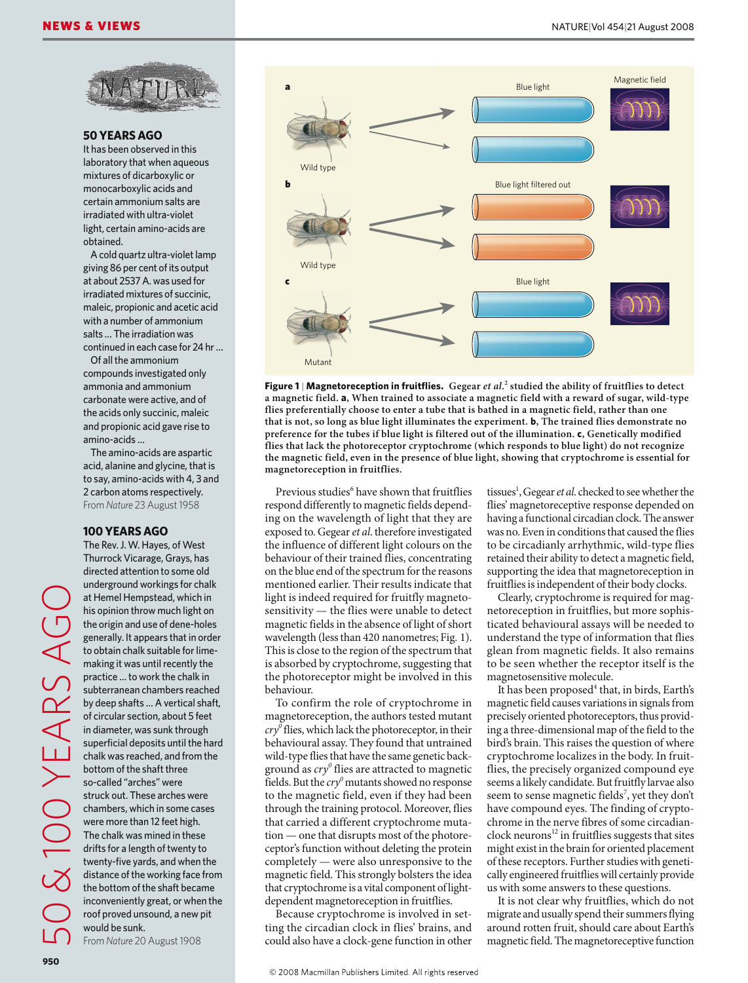

#### **50 YEARS AGO**

It has been observed in this laboratory that when aqueous mixtures of dicarboxylic or monocarboxylic acids and certain ammonium salts are irradiated with ultra-violet light, certain amino-acids are obtained.

A cold quartz ultra-violet lamp giving 86 per cent of its output at about 2537 A. was used for irradiated mixtures of succinic, maleic, propionic and acetic acid with a number of ammonium salts … The irradiation was continued in each case for 24 hr …

Of all the ammonium compounds investigated only ammonia and ammonium carbonate were active, and of the acids only succinic, maleic and propionic acid gave rise to amino-acids …

The amino-acids are aspartic acid, alanine and glycine, that is to say, amino-acids with 4, 3 and 2 carbon atoms respectively. From *Nature* 23 August 1958

#### **100 YEARS AGO**

The Rev. J. W. Hayes, of West Thurrock Vicarage, Grays, has directed attention to some old underground workings for chalk at Hemel Hempstead, which in his opinion throw much light on the origin and use of dene-holes generally. It appears that in order to obtain chalk suitable for limemaking it was until recently the practice … to work the chalk in subterranean chambers reached by deep shafts … A vertical shaft, of circular section, about 5 feet in diameter, was sunk through superficial deposits until the hard chalk was reached, and from the bottom of the shaft three so-called "arches" were struck out. These arches were chambers, which in some cases were more than 12 feet high. The chalk was mined in these drifts for a length of twenty to twenty-five yards, and when the distance of the working face from the bottom of the shaft became inconveniently great, or when the roof proved unsound, a new pit would be sunk.

From *Nature* 20 August 1908



**Figure 1** | **Magnetoreception in fruitflies. Gegear** *et al***. 2 studied the ability of fruitflies to detect a magnetic field. a, When trained to associate a magnetic field with a reward of sugar, wild-type flies preferentially choose to enter a tube that is bathed in a magnetic field, rather than one that is not, so long as blue light illuminates the experiment. b, The trained flies demonstrate no preference for the tubes if blue light is filtered out of the illumination. c, Genetically modified flies that lack the photoreceptor cryptochrome (which responds to blue light) do not recognize the magnetic field, even in the presence of blue light, showing that cryptochrome is essential for magnetoreception in fruitflies.**

Previous studies<sup>6</sup> have shown that fruitflies respond differently to magnetic fields depending on the wavelength of light that they are exposed to. Gegear *et al*. therefore investigated the influence of different light colours on the behaviour of their trained flies, concentrating on the blue end of the spectrum for the reasons mentioned earlier. Their results indicate that light is indeed required for fruitfly magnetosensitivity — the flies were unable to detect magnetic fields in the absence of light of short wavelength (less than 420 nanometres; Fig. 1). This is close to the region of the spectrum that is absorbed by cryptochrome, suggesting that the photoreceptor might be involved in this behaviour.

To confirm the role of cryptochrome in magnetoreception, the authors tested mutant *cry0* flies, which lack the photoreceptor, in their behavioural assay. They found that untrained wild-type flies that have the same genetic background as  $\frac{c}{y}$  flies are attracted to magnetic fields. But the  $\frac{cry^0}{m}$  mutants showed no response to the magnetic field, even if they had been through the training protocol. Moreover, flies that carried a different cryptochrome mutation — one that disrupts most of the photoreceptor's function without deleting the protein completely — were also unresponsive to the magnetic field. This strongly bolsters the idea that cryptochrome is a vital component of lightdependent magnetoreception in fruitflies.

Because cryptochrome is involved in setting the circadian clock in flies' brains, and could also have a clock-gene function in other

tissues<sup>1</sup>, Gegear *et al*. checked to see whether the flies' magnetoreceptive response depended on having a functional circadian clock. The answer was no. Even in conditions that caused the flies to be circadianly arrhythmic, wild-type flies retained their ability to detect a magnetic field, supporting the idea that magnetoreception in fruitflies is independent of their body clocks.

Clearly, cryptochrome is required for magnetoreception in fruitflies, but more sophisticated behavioural assays will be needed to understand the type of information that flies glean from magnetic fields. It also remains to be seen whether the receptor itself is the magnetosensitive molecule.

It has been proposed<sup>4</sup> that, in birds, Earth's magnetic field causes variations in signals from precisely oriented photoreceptors, thus providing a three-dimensional map of the field to the bird's brain. This raises the question of where cryptochrome localizes in the body. In fruitflies, the precisely organized compound eye seems a likely candidate. But fruitfly larvae also seem to sense magnetic fields<sup>7</sup>, yet they don't have compound eyes. The finding of cryptochrome in the nerve fibres of some circadianclock neurons<sup>12</sup> in fruitflies suggests that sites might exist in the brain for oriented placement of these receptors. Further studies with genetically engineered fruitflies will certainly provide us with some answers to these questions.

It is not clear why fruitflies, which do not migrate and usually spend their summers flying around rotten fruit, should care about Earth's magnetic field. The magnetoreceptive function

50 & 100 YEARS AGO

EARSA